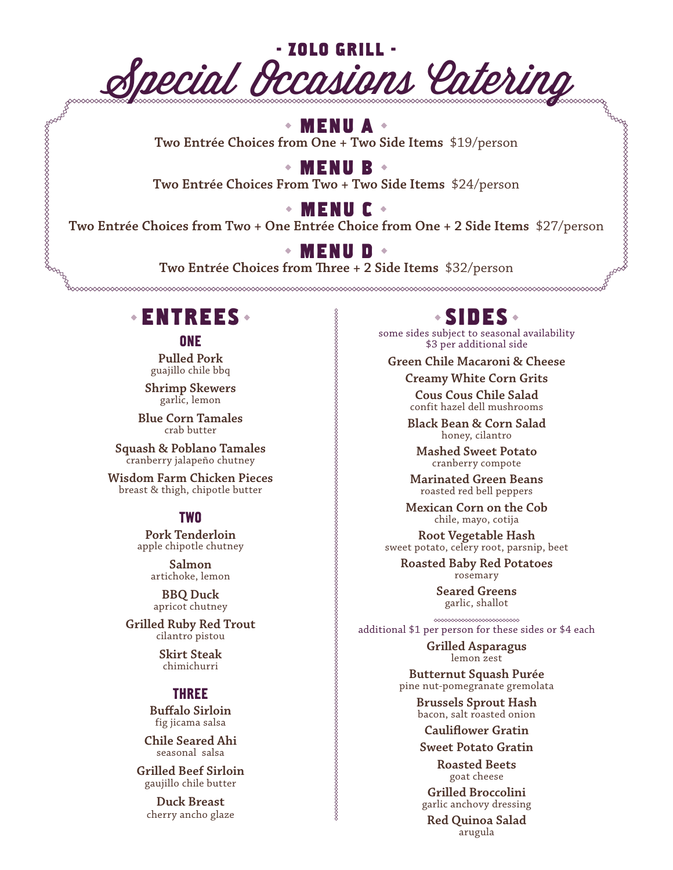

### **MENU A**

**Two Entrée Choices from One + Two Side Items** \$19/person

**MENU B**

**Two Entrée Choices From Two + Two Side Items** \$24/person

**MENU C**

**Two Entrée Choices from Two + One Entrée Choice from One + 2 Side Items** \$27/person

### **MENU D**

**Two Entrée Choices from Three + 2 Side Items** \$32/person

## **ENTREES**

www.com/www.com/www.com/www.com/www.com/www.com/www.com/www.com/www.com/www.com/<br>List

**ONE** 

**Pulled Pork** guajillo chile bbq

**Shrimp Skewers** garlic, lemon

**Blue Corn Tamales** crab butter

**Squash & Poblano Tamales**  cranberry jalapeño chutney

**Wisdom Farm Chicken Pieces**  breast & thigh, chipotle butter

#### TWO

**Pork Tenderloin** apple chipotle chutney

> **Salmon**  artichoke, lemon

**BBQ Duck**  apricot chutney

**Grilled Ruby Red Trout**  cilantro pistou

> **Skirt Steak**  chimichurri

#### THREE

**Buffalo Sirloin** fig jicama salsa

**Chile Seared Ahi**  seasonal salsa

**Grilled Beef Sirloin**  gaujillo chile butter

**Duck Breast**  cherry ancho glaze

## **SIDES**

some sides subject to seasonal availability \$3 per additional side

**Green Chile Macaroni & Cheese** 

**Creamy White Corn Grits**

**Cous Cous Chile Salad**  confit hazel dell mushrooms

**Black Bean & Corn Salad**  honey, cilantro

**Mashed Sweet Potato**  cranberry compote

**Marinated Green Beans**  roasted red bell peppers

**Mexican Corn on the Cob**  chile, mayo, cotija

**Root Vegetable Hash**  sweet potato, celery root, parsnip, beet

**Roasted Baby Red Potatoes**  rosemary

> **Seared Greens**  garlic, shallot

additional \$1 per person for these sides or \$4 each

**Grilled Asparagus**  lemon zest

**Butternut Squash Purée**  pine nut-pomegranate gremolata

**Brussels Sprout Hash**  bacon, salt roasted onion

**Cauliflower Gratin**

**Sweet Potato Gratin** 

**Roasted Beets**  goat cheese

**Grilled Broccolini**  garlic anchovy dressing

**Red Quinoa Salad**  arugula